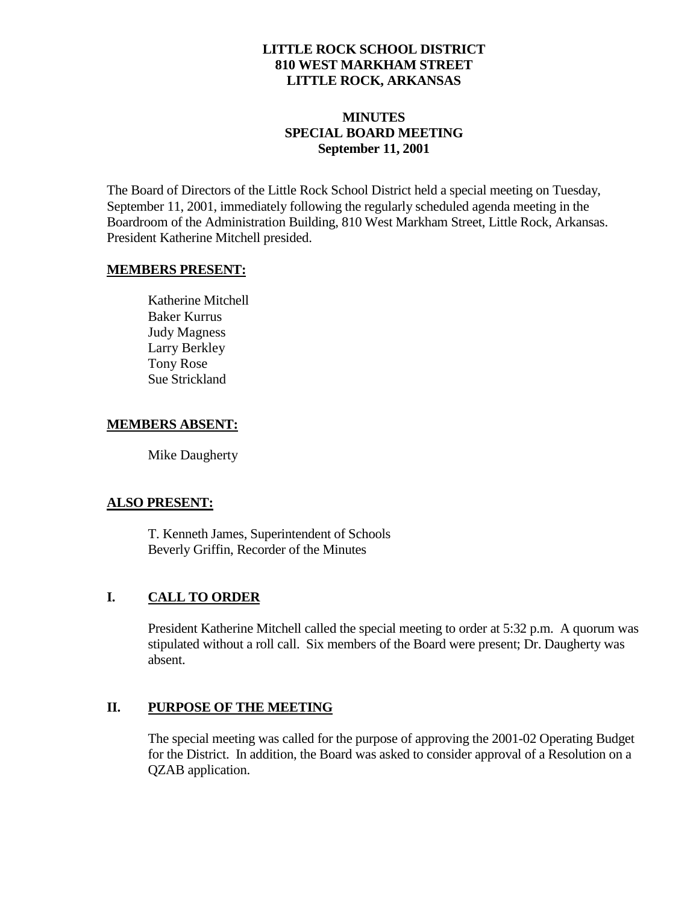#### **LITTLE ROCK SCHOOL DISTRICT 810 WEST MARKHAM STREET LITTLE ROCK, ARKANSAS**

# **MINUTES SPECIAL BOARD MEETING September 11, 2001**

The Board of Directors of the Little Rock School District held a special meeting on Tuesday, September 11, 2001, immediately following the regularly scheduled agenda meeting in the Boardroom of the Administration Building, 810 West Markham Street, Little Rock, Arkansas. President Katherine Mitchell presided.

#### **MEMBERS PRESENT:**

Katherine Mitchell Baker Kurrus Judy Magness Larry Berkley Tony Rose Sue Strickland

### **MEMBERS ABSENT:**

Mike Daugherty

# **ALSO PRESENT:**

T. Kenneth James, Superintendent of Schools Beverly Griffin, Recorder of the Minutes

# **I. CALL TO ORDER**

President Katherine Mitchell called the special meeting to order at 5:32 p.m. A quorum was stipulated without a roll call. Six members of the Board were present; Dr. Daugherty was absent.

# **II. PURPOSE OF THE MEETING**

The special meeting was called for the purpose of approving the 2001-02 Operating Budget for the District. In addition, the Board was asked to consider approval of a Resolution on a QZAB application.